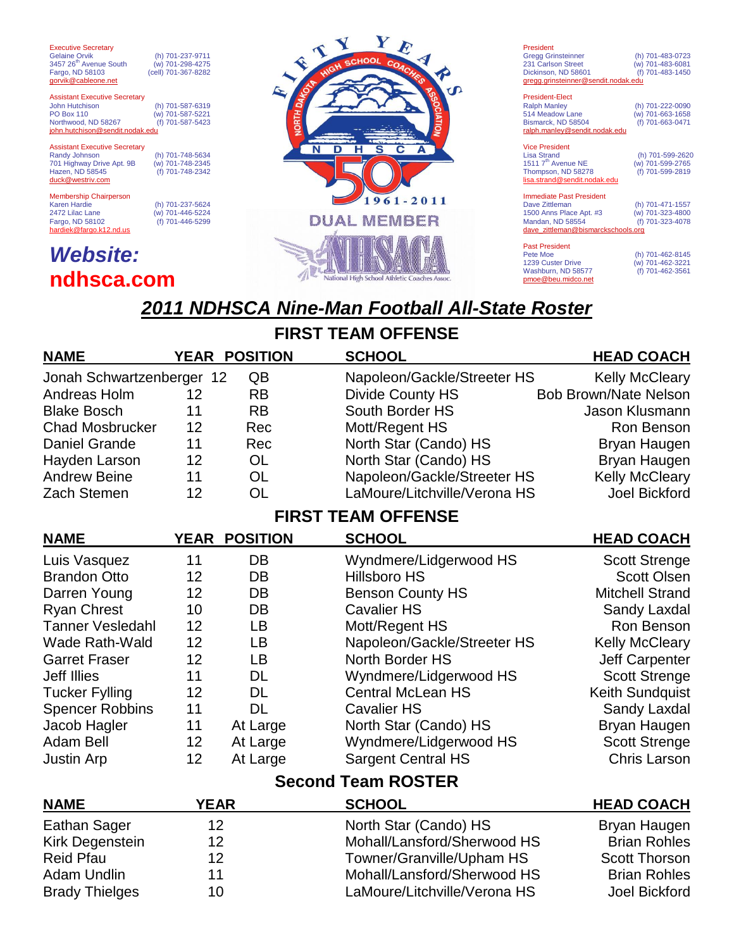**Executive Secretary**<br>Gelaine Orvik 3457 26<sup>th</sup> Avenue South (w) 701-298-4275<br>Fargo, ND 58103 (cell) 701-367-8282 Fargo, ND 58103 gorvik@cableone.net

(h) 701-237-9711<br>(w) 701-298-4275

Assistant Executive Secretary John Hutchison (h) 701-587-6319  $(m)$  701-587-5221<br>(f) 701-587-5423 Northwood, ND 58267 (f) 701-587-5423<br> **john.hutchison@sendit.nodak.edu** 

Assistant Executive Secretary<br>Randy Johnson 701 Highway Drive Apt. 9B (w) 701-748-2345 Hazen, ND 58545 duck@westriv.com

Membership Chairperson<br>Karen Hardie Karen Hardie (h) 701-237-5624 2472 Lilac Lane (w) 701-446-5224 Fargo, ND 58102 (f) 701-446-5299 hardiek@fargo.k12.nd.us

(h) 701-748-5634<br>(w) 701-748-2345

## *Website:* **ndhsca.com**



#### President Gregg Grinsteinner (h) 701-483-0723 231 Carlson Street (w) 701-483-6081 Dickinson, ND 58601 (f) 701-483-1450 gregg.grins President-Elect Ralph Manley (h) 701-222-0090<br>514 Meadow Lane (w) 701-663-1658 514 Meadow Lane (w) 701-663-1658 Bismarck, ND 58504 ralph.manley@sendit.nodak.edu

Vice President<br>Lisa Strand (h) 701-599-2620<br>(w) 701-599-2765 1511 7<sup>th</sup> Avenue NE (w) 701-599-2765<br>Thompson, ND 58278 (f) 701-599-2819 Thompson, ND 58278 lisa.strand@s Immediate Past President Dave Zittleman (h) 701-471-1557 1500 Anns Place Apt. #3 (w) 701-323-4800 Mandan, ND 58554 (f) 701-323-4078 dave\_zittleman@bismarckschools.org

Past President<br>Pete Moe (h) 701-462-8145<br>(w) 701-462-3221 1239 Custer Drive (w) 701-462-3221<br>1239 Custer Drive (w) 701-462-3221<br>Washburn, ND 58577 (f) 701-462-3561 Washburn, ND 58577 pmoe@beu.midco.net

# *2011 NDHSCA Nine-Man Football All-State Roster*

### **FIRST TEAM OFFENSE NAME YEAR POSITION SCHOOL HEAD COACH** Jonah Schwartzenberger 12 QB Napoleon/Gackle/Streeter HS Kelly McCleary Andreas Holm 12 RB Divide County HS Bob Brown/Nate Nelson Blake Bosch 11 RB South Border HS Jason Klusmann Chad Mosbrucker 12 Rec Mott/Regent HS Ron Benson Daniel Grande 11 Rec North Star (Cando) HS Bryan Haugen Hayden Larson 12 OL North Star (Cando) HS Bryan Haugen Andrew Beine 11 OL Napoleon/Gackle/Streeter HS Kelly McCleary Zach Stemen 12 OL LaMoure/Litchville/Verona HS Joel Bickford **FIRST TEAM OFFENSE NAME YEAR POSITION SCHOOL HEAD COACH** Luis Vasquez 11 DB Wyndmere/Lidgerwood HS Scott Strenge Brandon Otto 12 DB Hillsboro HS Scott Olsen Darren Young 12 DB Benson County HS Mitchell Strand Ryan Chrest 10 DB Cavalier HS Sandy Laxdal Tanner Vesledahl 12 LB Mott/Regent HS Ron Benson Wade Rath-Wald 12 LB Napoleon/Gackle/Streeter HS Kelly McCleary Garret Fraser 12 LB North Border HS Jeff Carpenter Jeff Illies 11 DL Wyndmere/Lidgerwood HS Scott Strenge Tucker Fylling 12 DL Central McLean HS Keith Sundquist Spencer Robbins 11 DL Cavalier HS Sandy Laxdal Jacob Hagler 11 At Large North Star (Cando) HS Bryan Haugen Adam Bell 12 At Large Wyndmere/Lidgerwood HS Scott Strenge Justin Arp 12 At Large Sargent Central HS Chris Larson **Second Team ROSTER NAME YEAR SCHOOL HEAD COACH** Eathan Sager 12 12 North Star (Cando) HS Bryan Haugen Kirk Degenstein 12 12 Mohall/Lansford/Sherwood HS Brian Rohles Reid Pfau 12 12 Towner/Granville/Upham HS Scott Thorson Adam Undlin 11 1 Mohall/Lansford/Sherwood HS Brian Rohles Brady Thielges and 10 LaMoure/Litchville/Verona HS Joel Bickford